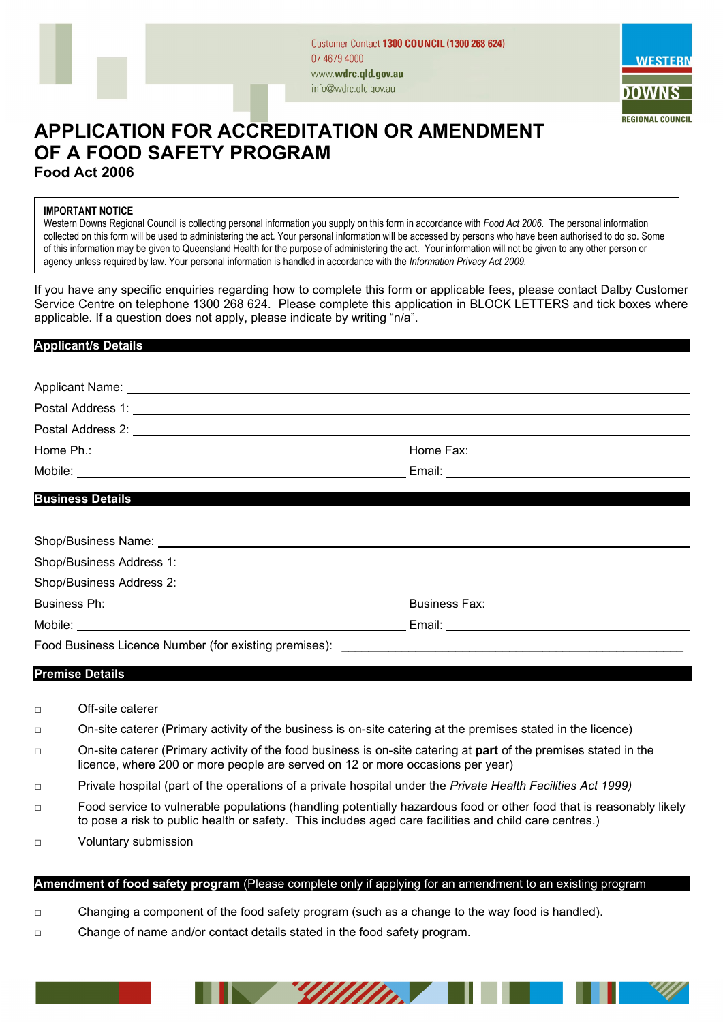



# **APPLICATION FOR ACCREDITATION OR AMENDMENT OF A FOOD SAFETY PROGRAM Food Act 2006**

#### **IMPORTANT NOTICE**

Western Downs Regional Council is collecting personal information you supply on this form in accordance with *Food Act 2006*. The personal information collected on this form will be used to administering the act. Your personal information will be accessed by persons who have been authorised to do so. Some of this information may be given to Queensland Health for the purpose of administering the act. Your information will not be given to any other person or agency unless required by law. Your personal information is handled in accordance with the *Information Privacy Act 2009.*

If you have any specific enquiries regarding how to complete this form or applicable fees, please contact Dalby Customer Service Centre on telephone 1300 268 624. Please complete this application in BLOCK LETTERS and tick boxes where applicable. If a question does not apply, please indicate by writing "n/a".

### **Applicant/s Details**

| Home Fax: The Contract of the Contract of the Contract of the Contract of the Contract of the Contract of the Contract of the Contract of the Contract of the Contract of the Contract of the Contract of the Contract of the  |
|--------------------------------------------------------------------------------------------------------------------------------------------------------------------------------------------------------------------------------|
| Email: Email: Email: Email: Email: Email: Email: Email: Email: Email: Email: Email: Email: Email: Email: Email: Email: Email: Email: Email: Email: Email: Email: Email: Email: Email: Email: Email: Email: Email: Email: Email |
|                                                                                                                                                                                                                                |

#### **Business Details**

| Shop/Business Address 1: New York Changes and Shop/Business Address 1:                                                                                                                                                         |                                                |  |
|--------------------------------------------------------------------------------------------------------------------------------------------------------------------------------------------------------------------------------|------------------------------------------------|--|
| Shop/Business Address 2: Letters and the state of the state of the state of the state of the state of the state of the state of the state of the state of the state of the state of the state of the state of the state of the |                                                |  |
|                                                                                                                                                                                                                                | Business Fax: <u>_________________________</u> |  |
|                                                                                                                                                                                                                                |                                                |  |
| Food Business Licence Number (for existing premises): National Contract Contract Contract Contract Contract Contract Contract Contract Contract Contract Contract Contract Contract Contract Contract Contract Contract Contra |                                                |  |

## **Premise Details**

- □ Off-site caterer
- □ On-site caterer (Primary activity of the business is on-site catering at the premises stated in the licence)
- □ On-site caterer (Primary activity of the food business is on-site catering at **part** of the premises stated in the licence, where 200 or more people are served on 12 or more occasions per year)
- □ Private hospital (part of the operations of a private hospital under the *Private Health Facilities Act 1999)*
- □ Food service to vulnerable populations (handling potentially hazardous food or other food that is reasonably likely to pose a risk to public health or safety. This includes aged care facilities and child care centres.)
- □ Voluntary submission

#### **Amendment of food safety program** (Please complete only if applying for an amendment to an existing program

**Page 1 of 2 of 2 of 2 of 2 of 2 of 2 of 2** 

- □ Changing a component of the food safety program (such as a change to the way food is handled).
- □ Change of name and/or contact details stated in the food safety program.